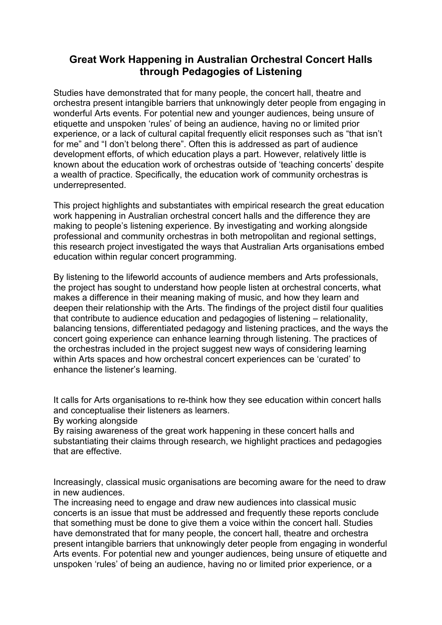## **Great Work Happening in Australian Orchestral Concert Halls through Pedagogies of Listening**

Studies have demonstrated that for many people, the concert hall, theatre and orchestra present intangible barriers that unknowingly deter people from engaging in wonderful Arts events. For potential new and younger audiences, being unsure of etiquette and unspoken 'rules' of being an audience, having no or limited prior experience, or a lack of cultural capital frequently elicit responses such as "that isn't for me" and "I don't belong there". Often this is addressed as part of audience development efforts, of which education plays a part. However, relatively little is known about the education work of orchestras outside of 'teaching concerts' despite a wealth of practice. Specifically, the education work of community orchestras is underrepresented.

This project highlights and substantiates with empirical research the great education work happening in Australian orchestral concert halls and the difference they are making to people's listening experience. By investigating and working alongside professional and community orchestras in both metropolitan and regional settings, this research project investigated the ways that Australian Arts organisations embed education within regular concert programming.

By listening to the lifeworld accounts of audience members and Arts professionals, the project has sought to understand how people listen at orchestral concerts, what makes a difference in their meaning making of music, and how they learn and deepen their relationship with the Arts. The findings of the project distil four qualities that contribute to audience education and pedagogies of listening – relationality, balancing tensions, differentiated pedagogy and listening practices, and the ways the concert going experience can enhance learning through listening. The practices of the orchestras included in the project suggest new ways of considering learning within Arts spaces and how orchestral concert experiences can be 'curated' to enhance the listener's learning.

It calls for Arts organisations to re-think how they see education within concert halls and conceptualise their listeners as learners.

By working alongside

By raising awareness of the great work happening in these concert halls and substantiating their claims through research, we highlight practices and pedagogies that are effective.

Increasingly, classical music organisations are becoming aware for the need to draw in new audiences.

The increasing need to engage and draw new audiences into classical music concerts is an issue that must be addressed and frequently these reports conclude that something must be done to give them a voice within the concert hall. Studies have demonstrated that for many people, the concert hall, theatre and orchestra present intangible barriers that unknowingly deter people from engaging in wonderful Arts events. For potential new and younger audiences, being unsure of etiquette and unspoken 'rules' of being an audience, having no or limited prior experience, or a